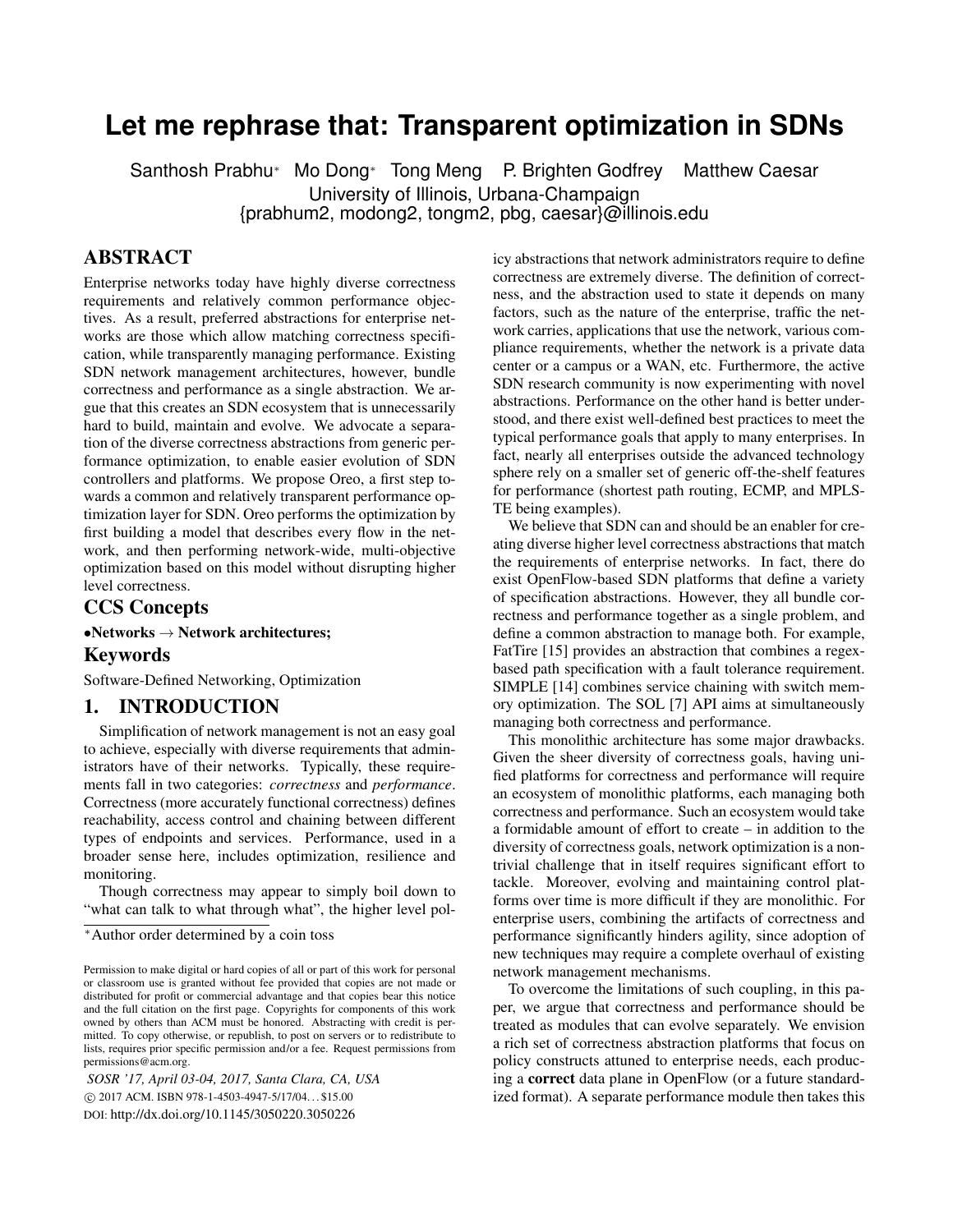# **Let me rephrase that: Transparent optimization in SDNs**

Santhosh Prabhu<sup>∗</sup> Mo Dong<sup>∗</sup> Tong Meng P. Brighten Godfrey Matthew Caesar University of Illinois, Urbana-Champaign {prabhum2, modong2, tongm2, pbg, caesar}@illinois.edu

# ABSTRACT

Enterprise networks today have highly diverse correctness requirements and relatively common performance objectives. As a result, preferred abstractions for enterprise networks are those which allow matching correctness specification, while transparently managing performance. Existing SDN network management architectures, however, bundle correctness and performance as a single abstraction. We argue that this creates an SDN ecosystem that is unnecessarily hard to build, maintain and evolve. We advocate a separation of the diverse correctness abstractions from generic performance optimization, to enable easier evolution of SDN controllers and platforms. We propose Oreo, a first step towards a common and relatively transparent performance optimization layer for SDN. Oreo performs the optimization by first building a model that describes every flow in the network, and then performing network-wide, multi-objective optimization based on this model without disrupting higher level correctness.

## CCS Concepts

 $\bullet$ Networks  $\rightarrow$  Network architectures;

#### Keywords

Software-Defined Networking, Optimization

#### 1. INTRODUCTION

Simplification of network management is not an easy goal to achieve, especially with diverse requirements that administrators have of their networks. Typically, these requirements fall in two categories: *correctness* and *performance*. Correctness (more accurately functional correctness) defines reachability, access control and chaining between different types of endpoints and services. Performance, used in a broader sense here, includes optimization, resilience and monitoring.

Though correctness may appear to simply boil down to "what can talk to what through what", the higher level pol-

*SOSR '17, April 03-04, 2017, Santa Clara, CA, USA* c 2017 ACM. ISBN 978-1-4503-4947-5/17/04. . . \$15.00 DOI: http://dx.doi.org/10.1145/3050220.3050226

icy abstractions that network administrators require to define correctness are extremely diverse. The definition of correctness, and the abstraction used to state it depends on many factors, such as the nature of the enterprise, traffic the network carries, applications that use the network, various compliance requirements, whether the network is a private data center or a campus or a WAN, etc. Furthermore, the active SDN research community is now experimenting with novel abstractions. Performance on the other hand is better understood, and there exist well-defined best practices to meet the typical performance goals that apply to many enterprises. In fact, nearly all enterprises outside the advanced technology sphere rely on a smaller set of generic off-the-shelf features for performance (shortest path routing, ECMP, and MPLS-TE being examples).

We believe that SDN can and should be an enabler for creating diverse higher level correctness abstractions that match the requirements of enterprise networks. In fact, there do exist OpenFlow-based SDN platforms that define a variety of specification abstractions. However, they all bundle correctness and performance together as a single problem, and define a common abstraction to manage both. For example, FatTire [15] provides an abstraction that combines a regexbased path specification with a fault tolerance requirement. SIMPLE [14] combines service chaining with switch memory optimization. The SOL [7] API aims at simultaneously managing both correctness and performance.

This monolithic architecture has some major drawbacks. Given the sheer diversity of correctness goals, having unified platforms for correctness and performance will require an ecosystem of monolithic platforms, each managing both correctness and performance. Such an ecosystem would take a formidable amount of effort to create – in addition to the diversity of correctness goals, network optimization is a nontrivial challenge that in itself requires significant effort to tackle. Moreover, evolving and maintaining control platforms over time is more difficult if they are monolithic. For enterprise users, combining the artifacts of correctness and performance significantly hinders agility, since adoption of new techniques may require a complete overhaul of existing network management mechanisms.

To overcome the limitations of such coupling, in this paper, we argue that correctness and performance should be treated as modules that can evolve separately. We envision a rich set of correctness abstraction platforms that focus on policy constructs attuned to enterprise needs, each producing a correct data plane in OpenFlow (or a future standardized format). A separate performance module then takes this

<sup>∗</sup>Author order determined by a coin toss

Permission to make digital or hard copies of all or part of this work for personal or classroom use is granted without fee provided that copies are not made or distributed for profit or commercial advantage and that copies bear this notice and the full citation on the first page. Copyrights for components of this work owned by others than ACM must be honored. Abstracting with credit is permitted. To copy otherwise, or republish, to post on servers or to redistribute to lists, requires prior specific permission and/or a fee. Request permissions from permissions@acm.org.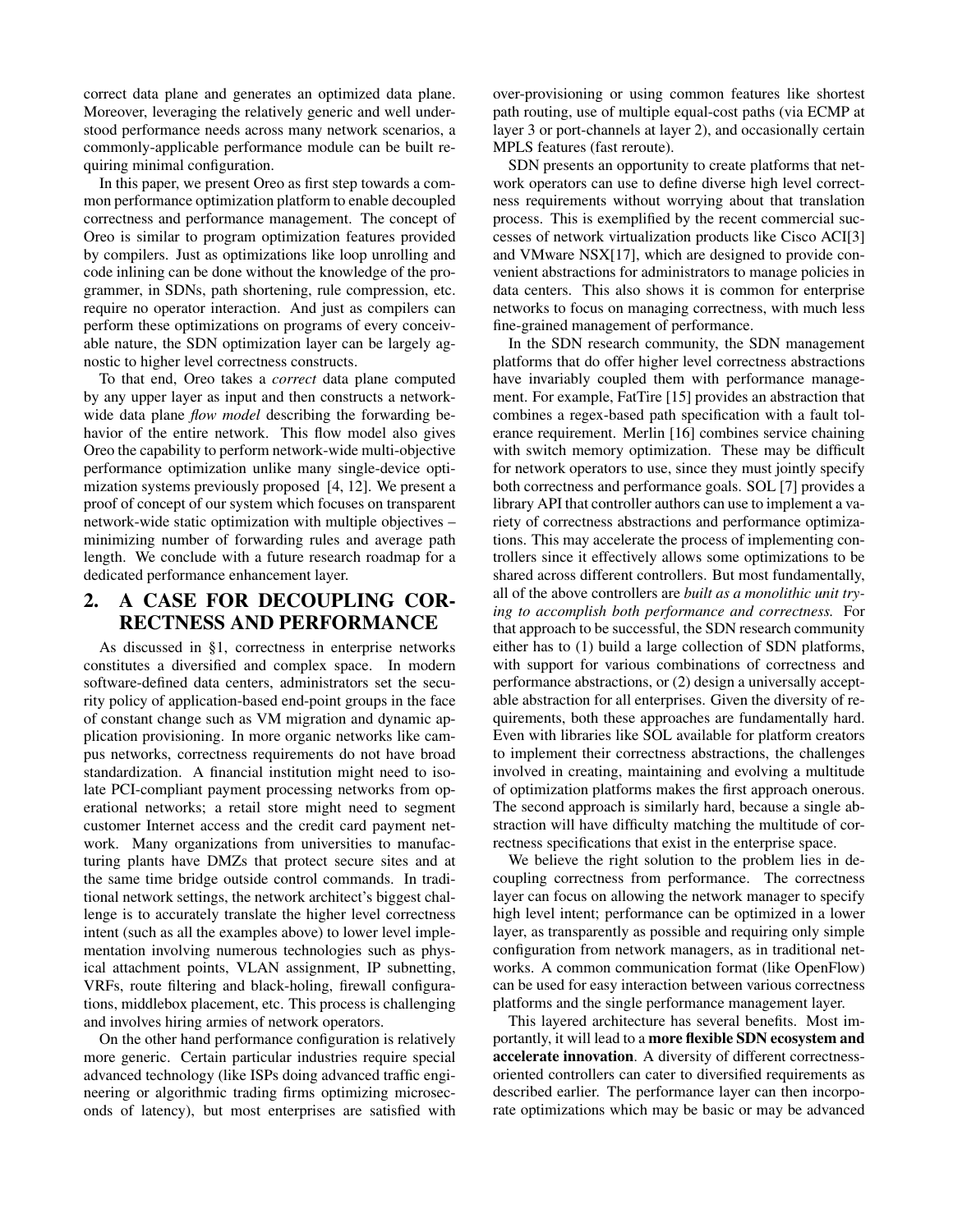correct data plane and generates an optimized data plane. Moreover, leveraging the relatively generic and well understood performance needs across many network scenarios, a commonly-applicable performance module can be built requiring minimal configuration.

In this paper, we present Oreo as first step towards a common performance optimization platform to enable decoupled correctness and performance management. The concept of Oreo is similar to program optimization features provided by compilers. Just as optimizations like loop unrolling and code inlining can be done without the knowledge of the programmer, in SDNs, path shortening, rule compression, etc. require no operator interaction. And just as compilers can perform these optimizations on programs of every conceivable nature, the SDN optimization layer can be largely agnostic to higher level correctness constructs.

To that end, Oreo takes a *correct* data plane computed by any upper layer as input and then constructs a networkwide data plane *flow model* describing the forwarding behavior of the entire network. This flow model also gives Oreo the capability to perform network-wide multi-objective performance optimization unlike many single-device optimization systems previously proposed [4, 12]. We present a proof of concept of our system which focuses on transparent network-wide static optimization with multiple objectives – minimizing number of forwarding rules and average path length. We conclude with a future research roadmap for a dedicated performance enhancement layer.

# 2. A CASE FOR DECOUPLING COR-RECTNESS AND PERFORMANCE

As discussed in §1, correctness in enterprise networks constitutes a diversified and complex space. In modern software-defined data centers, administrators set the security policy of application-based end-point groups in the face of constant change such as VM migration and dynamic application provisioning. In more organic networks like campus networks, correctness requirements do not have broad standardization. A financial institution might need to isolate PCI-compliant payment processing networks from operational networks; a retail store might need to segment customer Internet access and the credit card payment network. Many organizations from universities to manufacturing plants have DMZs that protect secure sites and at the same time bridge outside control commands. In traditional network settings, the network architect's biggest challenge is to accurately translate the higher level correctness intent (such as all the examples above) to lower level implementation involving numerous technologies such as physical attachment points, VLAN assignment, IP subnetting, VRFs, route filtering and black-holing, firewall configurations, middlebox placement, etc. This process is challenging and involves hiring armies of network operators.

On the other hand performance configuration is relatively more generic. Certain particular industries require special advanced technology (like ISPs doing advanced traffic engineering or algorithmic trading firms optimizing microseconds of latency), but most enterprises are satisfied with

over-provisioning or using common features like shortest path routing, use of multiple equal-cost paths (via ECMP at layer 3 or port-channels at layer 2), and occasionally certain MPLS features (fast reroute).

SDN presents an opportunity to create platforms that network operators can use to define diverse high level correctness requirements without worrying about that translation process. This is exemplified by the recent commercial successes of network virtualization products like Cisco ACI[3] and VMware NSX[17], which are designed to provide convenient abstractions for administrators to manage policies in data centers. This also shows it is common for enterprise networks to focus on managing correctness, with much less fine-grained management of performance.

In the SDN research community, the SDN management platforms that do offer higher level correctness abstractions have invariably coupled them with performance management. For example, FatTire [15] provides an abstraction that combines a regex-based path specification with a fault tolerance requirement. Merlin [16] combines service chaining with switch memory optimization. These may be difficult for network operators to use, since they must jointly specify both correctness and performance goals. SOL [7] provides a library API that controller authors can use to implement a variety of correctness abstractions and performance optimizations. This may accelerate the process of implementing controllers since it effectively allows some optimizations to be shared across different controllers. But most fundamentally, all of the above controllers are *built as a monolithic unit trying to accomplish both performance and correctness.* For that approach to be successful, the SDN research community either has to (1) build a large collection of SDN platforms, with support for various combinations of correctness and performance abstractions, or (2) design a universally acceptable abstraction for all enterprises. Given the diversity of requirements, both these approaches are fundamentally hard. Even with libraries like SOL available for platform creators to implement their correctness abstractions, the challenges involved in creating, maintaining and evolving a multitude of optimization platforms makes the first approach onerous. The second approach is similarly hard, because a single abstraction will have difficulty matching the multitude of correctness specifications that exist in the enterprise space.

We believe the right solution to the problem lies in decoupling correctness from performance. The correctness layer can focus on allowing the network manager to specify high level intent; performance can be optimized in a lower layer, as transparently as possible and requiring only simple configuration from network managers, as in traditional networks. A common communication format (like OpenFlow) can be used for easy interaction between various correctness platforms and the single performance management layer.

This layered architecture has several benefits. Most importantly, it will lead to a more flexible SDN ecosystem and accelerate innovation. A diversity of different correctnessoriented controllers can cater to diversified requirements as described earlier. The performance layer can then incorporate optimizations which may be basic or may be advanced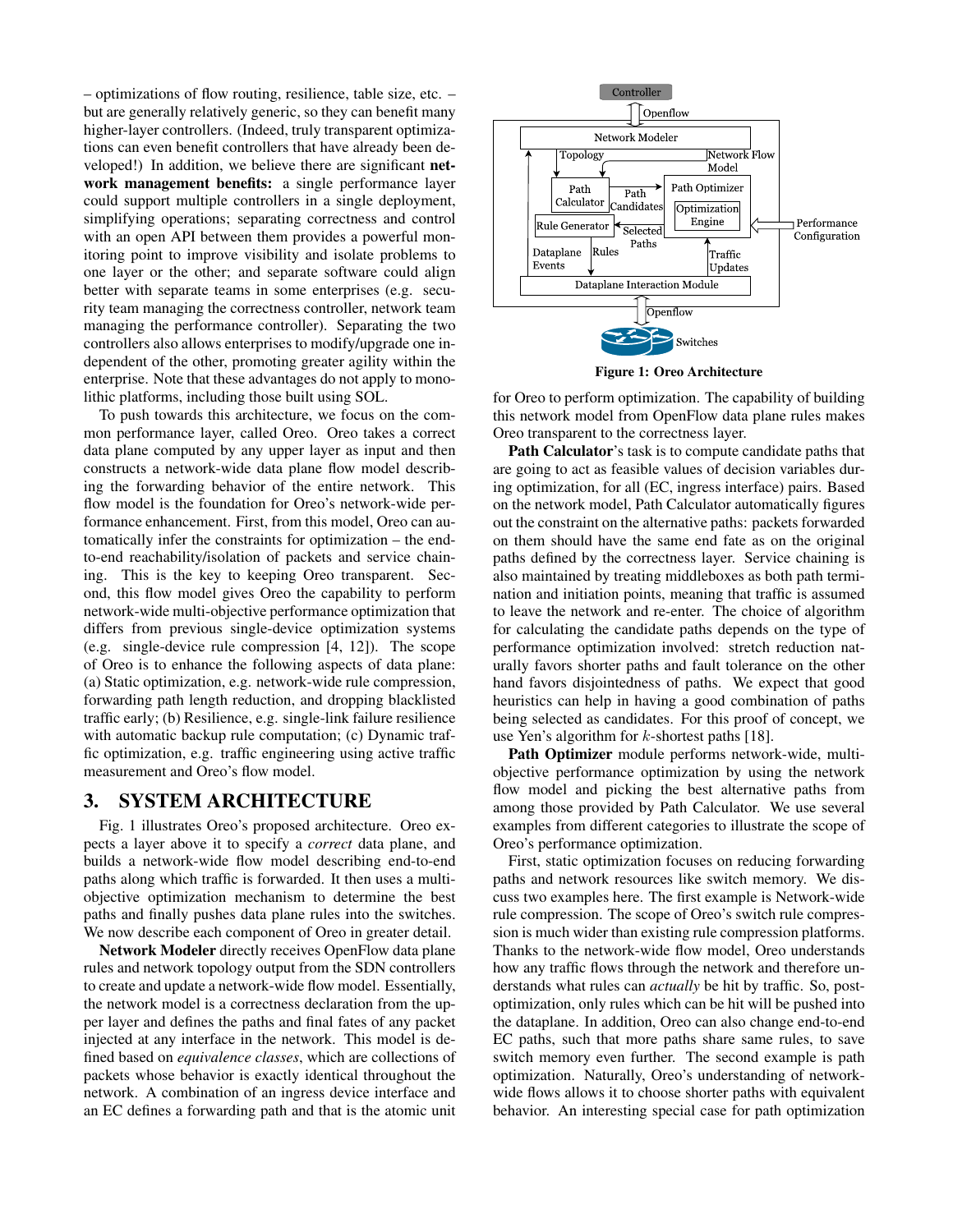– optimizations of flow routing, resilience, table size, etc. – but are generally relatively generic, so they can benefit many higher-layer controllers. (Indeed, truly transparent optimizations can even benefit controllers that have already been developed!) In addition, we believe there are significant network management benefits: a single performance layer could support multiple controllers in a single deployment, simplifying operations; separating correctness and control with an open API between them provides a powerful monitoring point to improve visibility and isolate problems to one layer or the other; and separate software could align better with separate teams in some enterprises (e.g. security team managing the correctness controller, network team managing the performance controller). Separating the two controllers also allows enterprises to modify/upgrade one independent of the other, promoting greater agility within the enterprise. Note that these advantages do not apply to monolithic platforms, including those built using SOL.

To push towards this architecture, we focus on the common performance layer, called Oreo. Oreo takes a correct data plane computed by any upper layer as input and then constructs a network-wide data plane flow model describing the forwarding behavior of the entire network. This flow model is the foundation for Oreo's network-wide performance enhancement. First, from this model, Oreo can automatically infer the constraints for optimization – the endto-end reachability/isolation of packets and service chaining. This is the key to keeping Oreo transparent. Second, this flow model gives Oreo the capability to perform network-wide multi-objective performance optimization that differs from previous single-device optimization systems (e.g. single-device rule compression [4, 12]). The scope of Oreo is to enhance the following aspects of data plane: (a) Static optimization, e.g. network-wide rule compression, forwarding path length reduction, and dropping blacklisted traffic early; (b) Resilience, e.g. single-link failure resilience with automatic backup rule computation; (c) Dynamic traffic optimization, e.g. traffic engineering using active traffic measurement and Oreo's flow model.

#### 3. SYSTEM ARCHITECTURE

Fig. 1 illustrates Oreo's proposed architecture. Oreo expects a layer above it to specify a *correct* data plane, and builds a network-wide flow model describing end-to-end paths along which traffic is forwarded. It then uses a multiobjective optimization mechanism to determine the best paths and finally pushes data plane rules into the switches. We now describe each component of Oreo in greater detail.

Network Modeler directly receives OpenFlow data plane rules and network topology output from the SDN controllers to create and update a network-wide flow model. Essentially, the network model is a correctness declaration from the upper layer and defines the paths and final fates of any packet injected at any interface in the network. This model is defined based on *equivalence classes*, which are collections of packets whose behavior is exactly identical throughout the network. A combination of an ingress device interface and an EC defines a forwarding path and that is the atomic unit





for Oreo to perform optimization. The capability of building this network model from OpenFlow data plane rules makes Oreo transparent to the correctness layer.

Path Calculator's task is to compute candidate paths that are going to act as feasible values of decision variables during optimization, for all (EC, ingress interface) pairs. Based on the network model, Path Calculator automatically figures out the constraint on the alternative paths: packets forwarded on them should have the same end fate as on the original paths defined by the correctness layer. Service chaining is also maintained by treating middleboxes as both path termination and initiation points, meaning that traffic is assumed to leave the network and re-enter. The choice of algorithm for calculating the candidate paths depends on the type of performance optimization involved: stretch reduction naturally favors shorter paths and fault tolerance on the other hand favors disjointedness of paths. We expect that good heuristics can help in having a good combination of paths being selected as candidates. For this proof of concept, we use Yen's algorithm for  $k$ -shortest paths [18].

Path Optimizer module performs network-wide, multiobjective performance optimization by using the network flow model and picking the best alternative paths from among those provided by Path Calculator. We use several examples from different categories to illustrate the scope of Oreo's performance optimization.

First, static optimization focuses on reducing forwarding paths and network resources like switch memory. We discuss two examples here. The first example is Network-wide rule compression. The scope of Oreo's switch rule compression is much wider than existing rule compression platforms. Thanks to the network-wide flow model, Oreo understands how any traffic flows through the network and therefore understands what rules can *actually* be hit by traffic. So, postoptimization, only rules which can be hit will be pushed into the dataplane. In addition, Oreo can also change end-to-end EC paths, such that more paths share same rules, to save switch memory even further. The second example is path optimization. Naturally, Oreo's understanding of networkwide flows allows it to choose shorter paths with equivalent behavior. An interesting special case for path optimization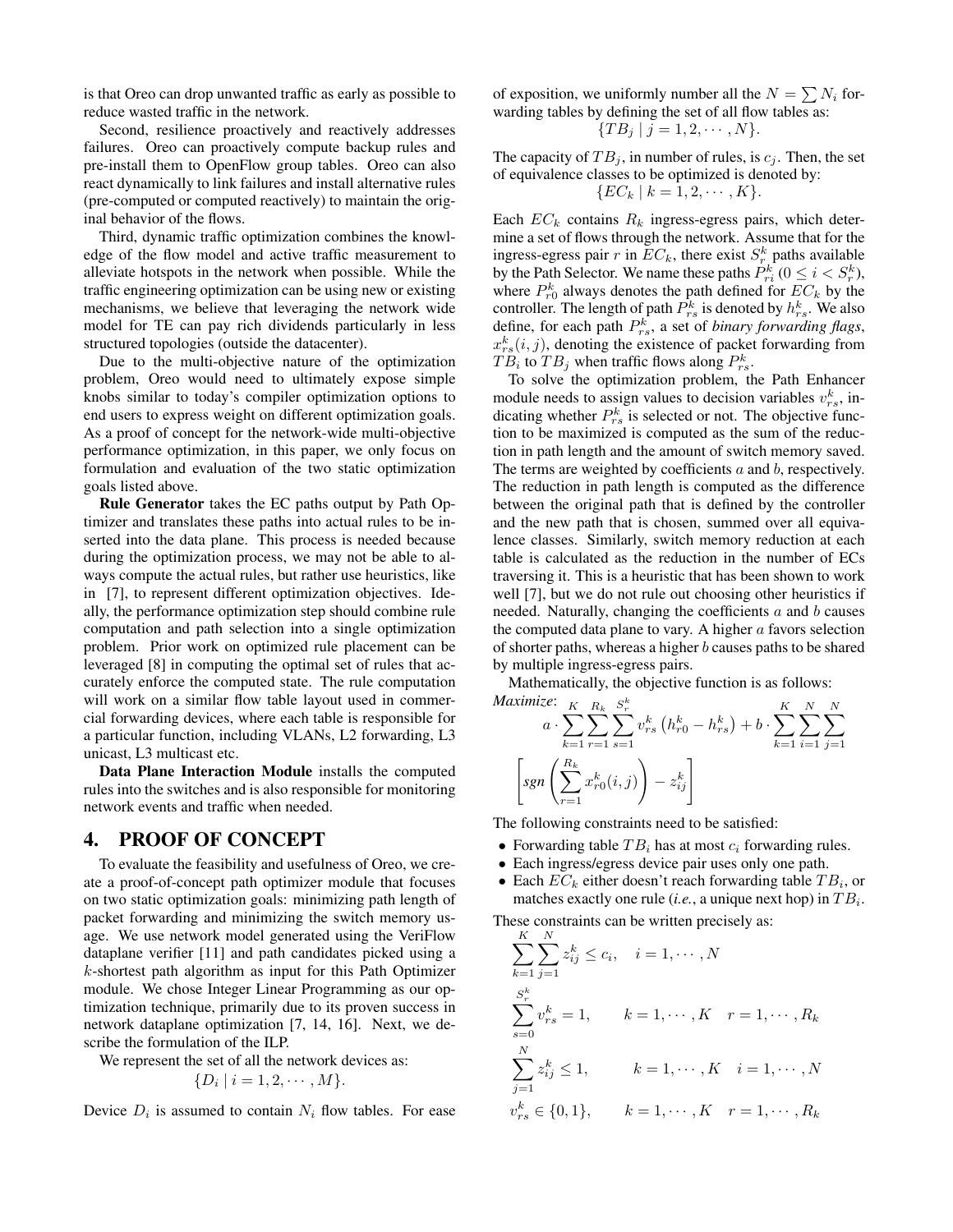is that Oreo can drop unwanted traffic as early as possible to reduce wasted traffic in the network.

Second, resilience proactively and reactively addresses failures. Oreo can proactively compute backup rules and pre-install them to OpenFlow group tables. Oreo can also react dynamically to link failures and install alternative rules (pre-computed or computed reactively) to maintain the original behavior of the flows.

Third, dynamic traffic optimization combines the knowledge of the flow model and active traffic measurement to alleviate hotspots in the network when possible. While the traffic engineering optimization can be using new or existing mechanisms, we believe that leveraging the network wide model for TE can pay rich dividends particularly in less structured topologies (outside the datacenter).

Due to the multi-objective nature of the optimization problem, Oreo would need to ultimately expose simple knobs similar to today's compiler optimization options to end users to express weight on different optimization goals. As a proof of concept for the network-wide multi-objective performance optimization, in this paper, we only focus on formulation and evaluation of the two static optimization goals listed above.

Rule Generator takes the EC paths output by Path Optimizer and translates these paths into actual rules to be inserted into the data plane. This process is needed because during the optimization process, we may not be able to always compute the actual rules, but rather use heuristics, like in [7], to represent different optimization objectives. Ideally, the performance optimization step should combine rule computation and path selection into a single optimization problem. Prior work on optimized rule placement can be leveraged [8] in computing the optimal set of rules that accurately enforce the computed state. The rule computation will work on a similar flow table layout used in commercial forwarding devices, where each table is responsible for a particular function, including VLANs, L2 forwarding, L3 unicast, L3 multicast etc.

Data Plane Interaction Module installs the computed rules into the switches and is also responsible for monitoring network events and traffic when needed.

#### 4. PROOF OF CONCEPT

To evaluate the feasibility and usefulness of Oreo, we create a proof-of-concept path optimizer module that focuses on two static optimization goals: minimizing path length of packet forwarding and minimizing the switch memory usage. We use network model generated using the VeriFlow dataplane verifier [11] and path candidates picked using a k-shortest path algorithm as input for this Path Optimizer module. We chose Integer Linear Programming as our optimization technique, primarily due to its proven success in network dataplane optimization [7, 14, 16]. Next, we describe the formulation of the ILP.

We represent the set of all the network devices as:

$$
\{D_i \mid i = 1, 2, \cdots, M\}.
$$

Device  $D_i$  is assumed to contain  $N_i$  flow tables. For ease

of exposition, we uniformly number all the  $N = \sum N_i$  forwarding tables by defining the set of all flow tables as:

$$
\{TB_j \mid j=1,2,\cdots,N\}.
$$

The capacity of  $TB_j$ , in number of rules, is  $c_j$ . Then, the set of equivalence classes to be optimized is denoted by:

$$
\{EC_k \mid k=1,2,\cdots,K\}.
$$

Each  $EC_k$  contains  $R_k$  ingress-egress pairs, which determine a set of flows through the network. Assume that for the ingress-egress pair r in  $EC_k$ , there exist  $S_r^k$  paths available by the Path Selector. We name these paths  $P_{ri}^k$  ( $0 \le i < S_r^k$ ), where  $P_{r0}^k$  always denotes the path defined for  $EC_k$  by the controller. The length of path  $P_{rs}^k$  is denoted by  $h_{rs}^k$ . We also define, for each path  $P_{rs}^k$ , a set of *binary forwarding flags*,  $x_{rs}^{k}(i, j)$ , denoting the existence of packet forwarding from  $TB_i$  to  $TB_j$  when traffic flows along  $P_{rs}^k$ .

To solve the optimization problem, the Path Enhancer module needs to assign values to decision variables  $v_{rs}^k$ , indicating whether  $P_{rs}^{k}$  is selected or not. The objective function to be maximized is computed as the sum of the reduction in path length and the amount of switch memory saved. The terms are weighted by coefficients  $a$  and  $b$ , respectively. The reduction in path length is computed as the difference between the original path that is defined by the controller and the new path that is chosen, summed over all equivalence classes. Similarly, switch memory reduction at each table is calculated as the reduction in the number of ECs traversing it. This is a heuristic that has been shown to work well [7], but we do not rule out choosing other heuristics if needed. Naturally, changing the coefficients  $a$  and  $b$  causes the computed data plane to vary. A higher  $a$  favors selection of shorter paths, whereas a higher b causes paths to be shared by multiple ingress-egress pairs.

Mathematically, the objective function is as follows:

$$
Maximize: \sum_{k=1}^{K} \sum_{r=1}^{R_k} \sum_{s=1}^{S_r^k} v_{rs}^k (h_{r0}^k - h_{rs}^k) + b \cdot \sum_{k=1}^{K} \sum_{i=1}^{N} \sum_{j=1}^{N} \sum_{r=1}^{N} \left[ sgn\left(\sum_{r=1}^{R_k} x_{r0}^k(i,j)\right) - z_{ij}^k \right]
$$

The following constraints need to be satisfied:

- Forwarding table  $TB_i$  has at most  $c_i$  forwarding rules.
- Each ingress/egress device pair uses only one path.
- Each  $EC_k$  either doesn't reach forwarding table  $TB_i$ , or matches exactly one rule (*i.e.*, a unique next hop) in  $TB_i$ .

These constraints can be written precisely as:

$$
\sum_{k=1}^{K} \sum_{j=1}^{N} z_{ij}^{k} \le c_{i}, \quad i = 1, \dots, N
$$
  

$$
\sum_{s=0}^{S_{r}^{k}} v_{rs}^{k} = 1, \qquad k = 1, \dots, K \quad r = 1, \dots, R_{k}
$$
  

$$
\sum_{j=1}^{N} z_{ij}^{k} \le 1, \qquad k = 1, \dots, K \quad i = 1, \dots, N
$$
  

$$
v_{rs}^{k} \in \{0, 1\}, \qquad k = 1, \dots, K \quad r = 1, \dots, R_{k}
$$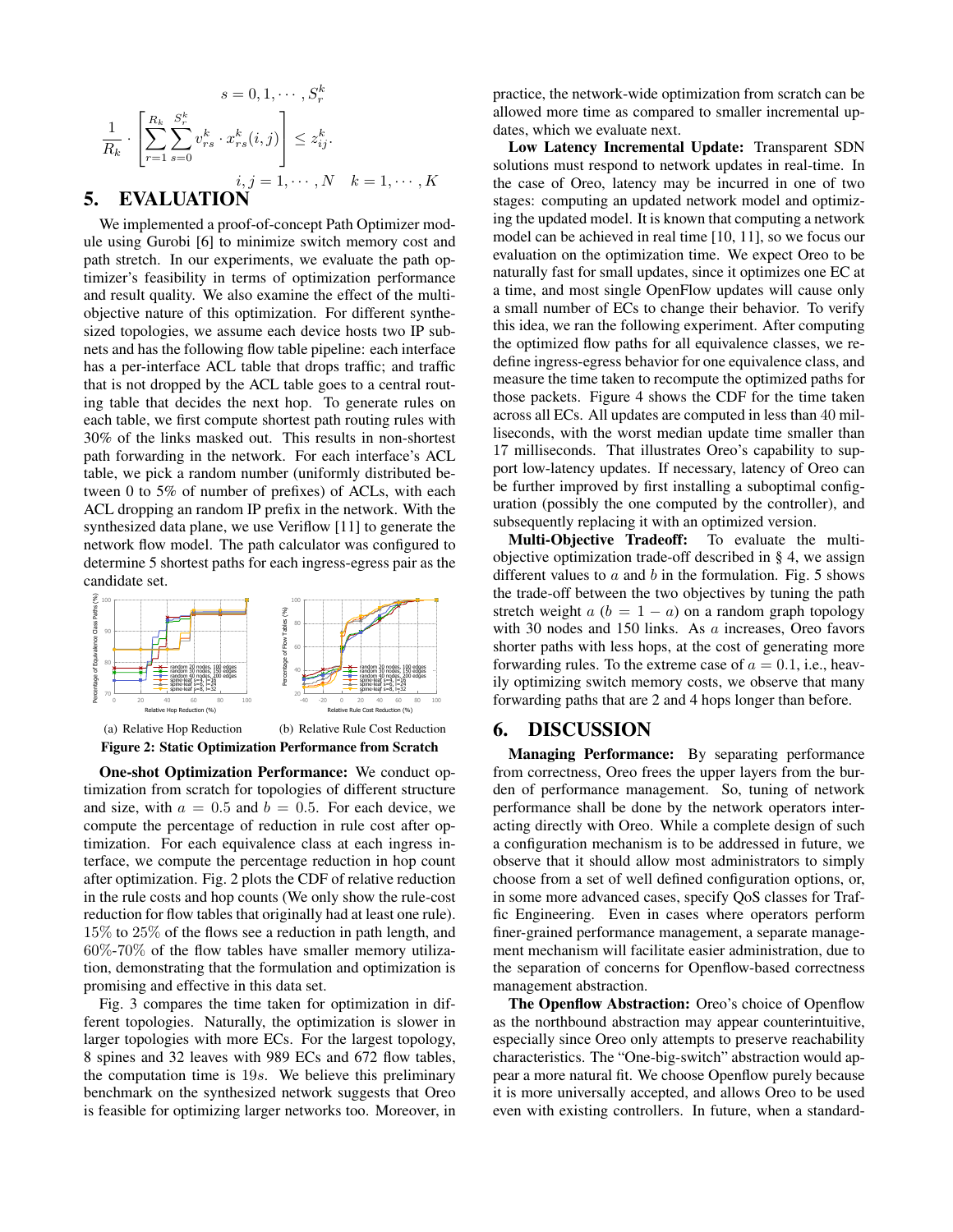$$
s = 0, 1, \cdots, S_r^k
$$

$$
\frac{1}{R_k} \cdot \left[ \sum_{r=1}^{R_k} \sum_{s=0}^{S_r^k} v_{rs}^k \cdot x_{rs}^k(i, j) \right] \le z_{ij}^k.
$$
  
**5. EVALUATION**  

$$
i, j = 1, \cdots, N \quad k = 1, \cdots, K
$$

We implemented a proof-of-concept Path Optimizer module using Gurobi [6] to minimize switch memory cost and path stretch. In our experiments, we evaluate the path optimizer's feasibility in terms of optimization performance and result quality. We also examine the effect of the multiobjective nature of this optimization. For different synthesized topologies, we assume each device hosts two IP subnets and has the following flow table pipeline: each interface has a per-interface ACL table that drops traffic; and traffic that is not dropped by the ACL table goes to a central routing table that decides the next hop. To generate rules on each table, we first compute shortest path routing rules with 30% of the links masked out. This results in non-shortest path forwarding in the network. For each interface's ACL table, we pick a random number (uniformly distributed between 0 to 5% of number of prefixes) of ACLs, with each ACL dropping an random IP prefix in the network. With the synthesized data plane, we use Veriflow [11] to generate the network flow model. The path calculator was configured to determine 5 shortest paths for each ingress-egress pair as the candidate set.



One-shot Optimization Performance: We conduct optimization from scratch for topologies of different structure and size, with  $a = 0.5$  and  $b = 0.5$ . For each device, we compute the percentage of reduction in rule cost after optimization. For each equivalence class at each ingress interface, we compute the percentage reduction in hop count after optimization. Fig. 2 plots the CDF of relative reduction in the rule costs and hop counts (We only show the rule-cost reduction for flow tables that originally had at least one rule). 15% to 25% of the flows see a reduction in path length, and 60%-70% of the flow tables have smaller memory utilization, demonstrating that the formulation and optimization is promising and effective in this data set.

Fig. 3 compares the time taken for optimization in different topologies. Naturally, the optimization is slower in larger topologies with more ECs. For the largest topology, 8 spines and 32 leaves with 989 ECs and 672 flow tables, the computation time is 19s. We believe this preliminary benchmark on the synthesized network suggests that Oreo is feasible for optimizing larger networks too. Moreover, in

practice, the network-wide optimization from scratch can be allowed more time as compared to smaller incremental updates, which we evaluate next.

Low Latency Incremental Update: Transparent SDN solutions must respond to network updates in real-time. In the case of Oreo, latency may be incurred in one of two stages: computing an updated network model and optimizing the updated model. It is known that computing a network model can be achieved in real time [10, 11], so we focus our evaluation on the optimization time. We expect Oreo to be naturally fast for small updates, since it optimizes one EC at a time, and most single OpenFlow updates will cause only a small number of ECs to change their behavior. To verify this idea, we ran the following experiment. After computing the optimized flow paths for all equivalence classes, we redefine ingress-egress behavior for one equivalence class, and measure the time taken to recompute the optimized paths for those packets. Figure 4 shows the CDF for the time taken across all ECs. All updates are computed in less than 40 milliseconds, with the worst median update time smaller than 17 milliseconds. That illustrates Oreo's capability to support low-latency updates. If necessary, latency of Oreo can be further improved by first installing a suboptimal configuration (possibly the one computed by the controller), and subsequently replacing it with an optimized version.

Multi-Objective Tradeoff: To evaluate the multiobjective optimization trade-off described in § 4, we assign different values to  $a$  and  $b$  in the formulation. Fig. 5 shows the trade-off between the two objectives by tuning the path stretch weight  $a (b = 1 - a)$  on a random graph topology with 30 nodes and 150 links. As a increases, Oreo favors shorter paths with less hops, at the cost of generating more forwarding rules. To the extreme case of  $a = 0.1$ , i.e., heavily optimizing switch memory costs, we observe that many forwarding paths that are 2 and 4 hops longer than before.

#### 6. DISCUSSION

Managing Performance: By separating performance from correctness, Oreo frees the upper layers from the burden of performance management. So, tuning of network performance shall be done by the network operators interacting directly with Oreo. While a complete design of such a configuration mechanism is to be addressed in future, we observe that it should allow most administrators to simply choose from a set of well defined configuration options, or, in some more advanced cases, specify QoS classes for Traffic Engineering. Even in cases where operators perform finer-grained performance management, a separate management mechanism will facilitate easier administration, due to the separation of concerns for Openflow-based correctness management abstraction.

The Openflow Abstraction: Oreo's choice of Openflow as the northbound abstraction may appear counterintuitive, especially since Oreo only attempts to preserve reachability characteristics. The "One-big-switch" abstraction would appear a more natural fit. We choose Openflow purely because it is more universally accepted, and allows Oreo to be used even with existing controllers. In future, when a standard-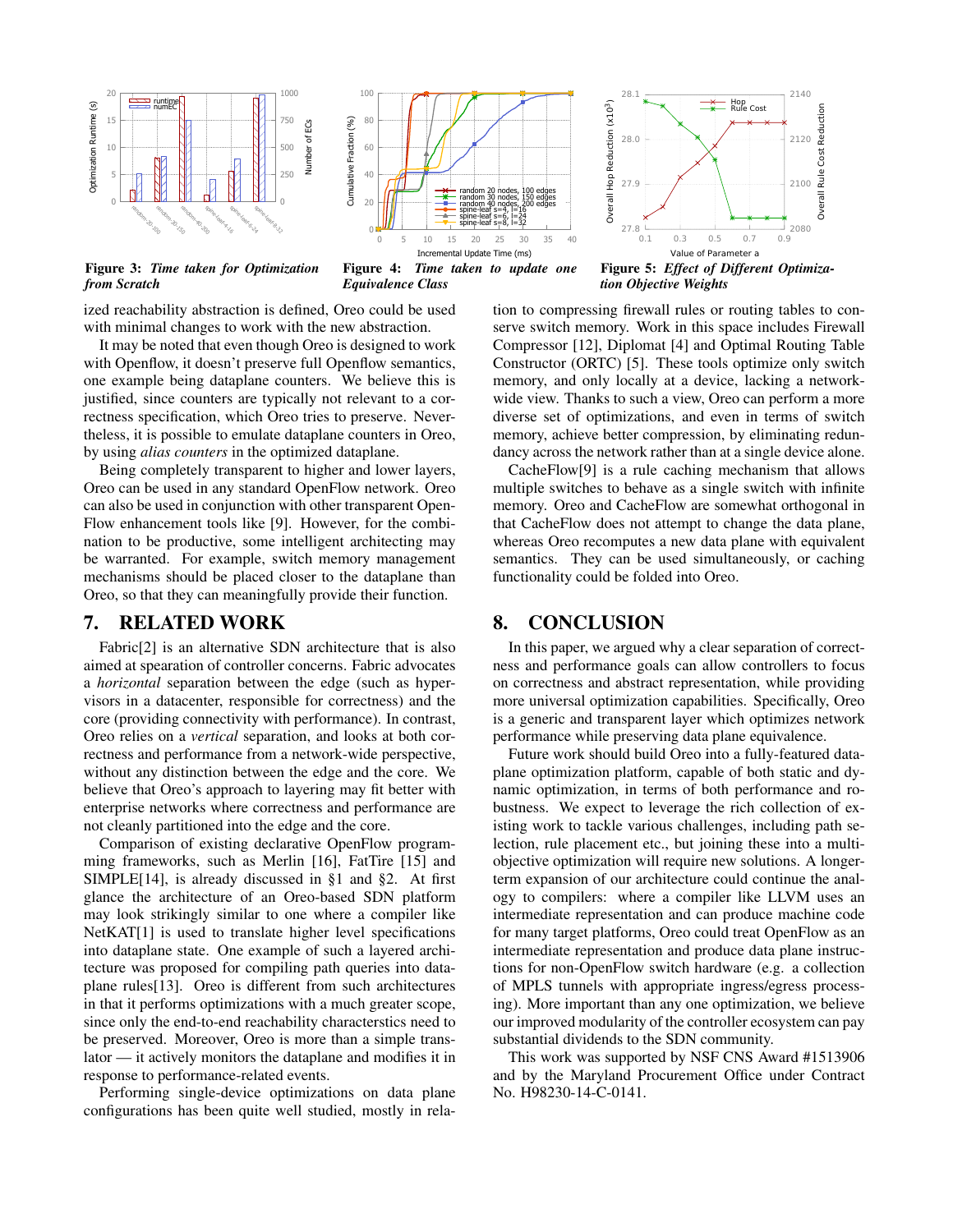

100 Cumulative Fraction (%) 80 Cumulative Fraction (%) 60 40 random 20 nodes, 100 edges 20 random 30 nodes, 150 edges random 40 nodes, 200 edges spine-leaf s=4, l=16 spine-leaf s=6, l=24 spine-leaf s=8, l=32  $\cap$  0 5 10 15 20 25 30 35 40 Incremental Update Time (ms)

Figure 4: *Time taken to update one Equivalence Class*



Figure 5: *Effect of Different Optimization Objective Weights*

Figure 3: *Time taken for Optimization from Scratch*

ized reachability abstraction is defined, Oreo could be used with minimal changes to work with the new abstraction.

It may be noted that even though Oreo is designed to work with Openflow, it doesn't preserve full Openflow semantics, one example being dataplane counters. We believe this is justified, since counters are typically not relevant to a correctness specification, which Oreo tries to preserve. Nevertheless, it is possible to emulate dataplane counters in Oreo, by using *alias counters* in the optimized dataplane.

Being completely transparent to higher and lower layers, Oreo can be used in any standard OpenFlow network. Oreo can also be used in conjunction with other transparent Open-Flow enhancement tools like [9]. However, for the combination to be productive, some intelligent architecting may be warranted. For example, switch memory management mechanisms should be placed closer to the dataplane than Oreo, so that they can meaningfully provide their function.

### 7. RELATED WORK

Fabric<sup>[2]</sup> is an alternative SDN architecture that is also aimed at spearation of controller concerns. Fabric advocates a *horizontal* separation between the edge (such as hypervisors in a datacenter, responsible for correctness) and the core (providing connectivity with performance). In contrast, Oreo relies on a *vertical* separation, and looks at both correctness and performance from a network-wide perspective, without any distinction between the edge and the core. We believe that Oreo's approach to layering may fit better with enterprise networks where correctness and performance are not cleanly partitioned into the edge and the core.

Comparison of existing declarative OpenFlow programming frameworks, such as Merlin [16], FatTire [15] and SIMPLE[14], is already discussed in §1 and §2. At first glance the architecture of an Oreo-based SDN platform may look strikingly similar to one where a compiler like NetKAT[1] is used to translate higher level specifications into dataplane state. One example of such a layered architecture was proposed for compiling path queries into dataplane rules[13]. Oreo is different from such architectures in that it performs optimizations with a much greater scope, since only the end-to-end reachability characterstics need to be preserved. Moreover, Oreo is more than a simple translator — it actively monitors the dataplane and modifies it in response to performance-related events.

Performing single-device optimizations on data plane configurations has been quite well studied, mostly in relation to compressing firewall rules or routing tables to conserve switch memory. Work in this space includes Firewall Compressor [12], Diplomat [4] and Optimal Routing Table Constructor (ORTC) [5]. These tools optimize only switch memory, and only locally at a device, lacking a networkwide view. Thanks to such a view, Oreo can perform a more diverse set of optimizations, and even in terms of switch memory, achieve better compression, by eliminating redundancy across the network rather than at a single device alone.

CacheFlow[9] is a rule caching mechanism that allows multiple switches to behave as a single switch with infinite memory. Oreo and CacheFlow are somewhat orthogonal in that CacheFlow does not attempt to change the data plane, whereas Oreo recomputes a new data plane with equivalent semantics. They can be used simultaneously, or caching functionality could be folded into Oreo.

## 8. CONCLUSION

In this paper, we argued why a clear separation of correctness and performance goals can allow controllers to focus on correctness and abstract representation, while providing more universal optimization capabilities. Specifically, Oreo is a generic and transparent layer which optimizes network performance while preserving data plane equivalence.

Future work should build Oreo into a fully-featured dataplane optimization platform, capable of both static and dynamic optimization, in terms of both performance and robustness. We expect to leverage the rich collection of existing work to tackle various challenges, including path selection, rule placement etc., but joining these into a multiobjective optimization will require new solutions. A longerterm expansion of our architecture could continue the analogy to compilers: where a compiler like LLVM uses an intermediate representation and can produce machine code for many target platforms, Oreo could treat OpenFlow as an intermediate representation and produce data plane instructions for non-OpenFlow switch hardware (e.g. a collection of MPLS tunnels with appropriate ingress/egress processing). More important than any one optimization, we believe our improved modularity of the controller ecosystem can pay substantial dividends to the SDN community.

This work was supported by NSF CNS Award #1513906 and by the Maryland Procurement Office under Contract No. H98230-14-C-0141.